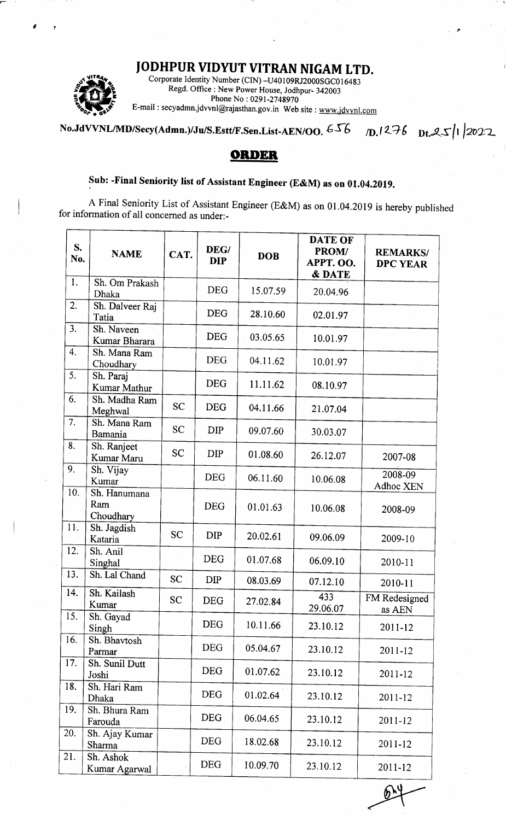## IODHPUR VIDYUT VITRAN NIGAM LTD.



Corporate Identity Number (CIN)-U40109RJ2000SGC016483 Regd. Office : New Power House, Jodhpur- 342003<br>Phone No : 0291-2748970 E-mail: secyadmn.jdvvnl@rajasthan.gov.in Web site : www.jdvvnl.com

No.JdVVNL/MD/Secy(Admn.)/Ju/S.Estt/F.Sen.List-AEN/OO.  $656$  D.1276 Dt.25/l 2022

## **ORDER**

## Sub: -Final Seniority list of Assistant Engineer (E&M) as on 01.04.2019.

<sup>A</sup>Final Seniority List of Assistant Engineer (E&M) as on 01 .04.2019 is hereby published for information of all concerned as under:-

| S.<br>No. | <b>NAME</b>                      | CAT.      | DEG/<br><b>DIP</b> | <b>DOB</b> | <b>DATE OF</b><br>PROM/<br>APPT. OO.<br><b>&amp; DATE</b> | <b>REMARKS/</b><br><b>DPC YEAR</b> |
|-----------|----------------------------------|-----------|--------------------|------------|-----------------------------------------------------------|------------------------------------|
| 1.        | Sh. Om Prakash<br>Dhaka          |           | <b>DEG</b>         | 15.07.59   | 20.04.96                                                  |                                    |
| 2.        | Sh. Dalveer Raj<br>Tatia         |           | <b>DEG</b>         | 28.10.60   | 02.01.97                                                  |                                    |
| 3.        | Sh. Naveen<br>Kumar Bharara      |           | <b>DEG</b>         | 03.05.65   | 10.01.97                                                  |                                    |
| 4.        | Sh. Mana Ram<br>Choudhary        |           | <b>DEG</b>         | 04.11.62   | 10.01.97                                                  |                                    |
| 5.        | Sh. Paraj<br>Kumar Mathur        |           | <b>DEG</b>         | 11.11.62   | 08.10.97                                                  |                                    |
| 6.        | Sh. Madha Ram<br>Meghwal         | <b>SC</b> | <b>DEG</b>         | 04.11.66   | 21.07.04                                                  |                                    |
| 7.        | Sh. Mana Ram<br>Bamania          | <b>SC</b> | DIP                | 09.07.60   | 30.03.07                                                  |                                    |
| 8.        | Sh. Ranjeet<br>Kumar Maru        | <b>SC</b> | <b>DIP</b>         | 01.08.60   | 26.12.07                                                  | 2007-08                            |
| 9.        | Sh. Vijay<br>Kumar               |           | <b>DEG</b>         | 06.11.60   | 10.06.08                                                  | $2008 - 09$<br>Adhoc XEN           |
| 10.       | Sh. Hanumana<br>Ram<br>Choudhary |           | <b>DEG</b>         | 01.01.63   | 10.06.08                                                  | 2008-09                            |
| 11.       | Sh. Jagdish<br>Kataria           | <b>SC</b> | <b>DIP</b>         | 20.02.61   | 09.06.09                                                  | 2009-10                            |
| 12.       | Sh. Anil<br>Singhal              |           | <b>DEG</b>         | 01.07.68   | 06.09.10                                                  | 2010-11                            |
| 13.       | Sh. Lal Chand                    | <b>SC</b> | <b>DIP</b>         | 08.03.69   | 07.12.10                                                  | 2010-11                            |
| 14.       | Sh. Kailash<br>Kumar             | <b>SC</b> | <b>DEG</b>         | 27.02.84   | 433<br>29.06.07                                           | FM Redesigned<br>as AEN            |
| 15.       | Sh. Gayad<br>Singh               |           | <b>DEG</b>         | 10.11.66   | 23.10.12                                                  | 2011-12                            |
| 16.       | Sh. Bhavtosh<br>Parmar           |           | <b>DEG</b>         | 05.04.67   | 23.10.12                                                  | 2011-12                            |
| 17.       | Sh. Sunil Dutt<br>Joshi          |           | <b>DEG</b>         | 01.07.62   | 23.10.12                                                  | 2011-12                            |
| 18.       | Sh. Hari Ram<br>Dhaka            |           | <b>DEG</b>         | 01.02.64   | 23.10.12                                                  | 2011-12                            |
| 19.       | Sh. Bhura Ram<br>Farouda         |           | <b>DEG</b>         | 06.04.65   | 23.10.12                                                  | 2011-12                            |
| 20.       | Sh. Ajay Kumar<br>Sharma         |           | <b>DEG</b>         | 18.02.68   | 23.10.12                                                  | 2011-12                            |
| 21.       | Sh. Ashok<br>Kumar Agarwal       |           | <b>DEG</b>         | 10.09.70   | 23.10.12                                                  | 2011-12                            |

 $\widehat{\mathbb{P}}$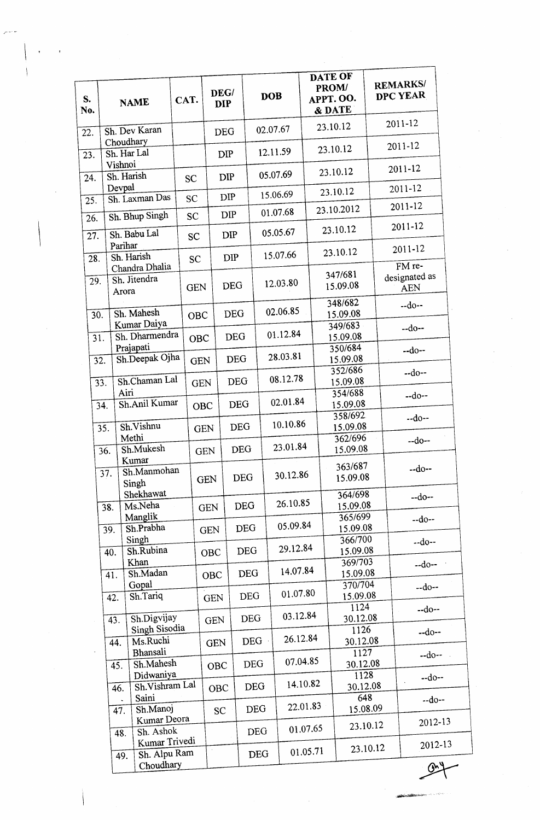| S.<br>No. |         | <b>NAME</b>                    | CAT.       |            | DEG/<br><b>DIP</b> |            | <b>DOB</b> |          | DATE OF<br><b>PROM/</b><br>APPT. OO.<br>& DATE |                     | <b>REMARKS/</b><br>DPC YEAR |
|-----------|---------|--------------------------------|------------|------------|--------------------|------------|------------|----------|------------------------------------------------|---------------------|-----------------------------|
| 22.       |         | Sh. Dev Karan                  |            |            | <b>DEG</b>         |            | 02.07.67   |          | 23.10.12                                       |                     | 2011-12                     |
| 23.       |         | Choudhary<br>Sh. Har Lal       |            |            | <b>DIP</b>         |            | 12.11.59   |          | 23.10.12                                       |                     | 2011-12                     |
| 24.       | Vishnoi | Sh. Harish                     | <b>SC</b>  |            | <b>DIP</b>         |            | 05.07.69   |          | 23.10.12                                       |                     | 2011-12                     |
|           | Devpal  |                                |            |            |                    |            | 15.06.69   |          | 23.10.12                                       |                     | 2011-12                     |
| 25.       |         | Sh. Laxman Das                 | <b>SC</b>  |            | <b>DIP</b>         |            |            |          | 23.10.2012                                     |                     | 2011-12                     |
| 26.       |         | Sh. Bhup Singh                 | <b>SC</b>  |            | <b>DIP</b>         |            | 01.07.68   |          | 23.10.12                                       |                     | 2011-12                     |
| 27.       | Parihar | Sh. Babu Lal                   | <b>SC</b>  |            | <b>DIP</b>         |            | 05.05.67   |          |                                                |                     | 2011-12                     |
| 28.       |         | Sh. Harish                     | <b>SC</b>  |            | <b>DIP</b>         |            | 15.07.66   |          | 23.10.12                                       |                     | FM re-                      |
| 29.       | Arora   | Chandra Dhalia<br>Sh. Jitendra | <b>GEN</b> |            | <b>DEG</b>         |            | 12.03.80   |          | 347/681<br>15.09.08                            |                     | designated as<br><b>AEN</b> |
|           |         | Sh. Mahesh                     |            |            |                    |            | 02.06.85   |          | 348/682                                        |                     | $-do-$                      |
| 30.       |         | Kumar Daiya                    | <b>OBC</b> |            | <b>DEG</b>         |            |            |          | 15.09.08<br>349/683                            |                     |                             |
| 31.       |         | Sh. Dharmendra                 | OBC        |            | <b>DEG</b>         |            | 01.12.84   |          | 15.09.08                                       |                     | $-do-$                      |
|           |         | Prajapati                      |            |            |                    |            | 28.03.81   |          | 350/684                                        |                     | $-do-$                      |
| 32.       |         | Sh.Deepak Ojha                 | <b>GEN</b> |            | <b>DEG</b>         |            |            |          | 15.09.08<br>352/686                            |                     |                             |
| 33.       |         | Sh.Chaman Lal                  |            | <b>GEN</b> | <b>DEG</b>         |            | 08.12.78   |          | 15.09.08                                       |                     | $-do-$                      |
|           |         | Airi                           |            |            |                    |            |            |          | 354/688                                        |                     | $-do-$                      |
|           | 34.     | Sh.Anil Kumar                  |            | <b>OBC</b> | <b>DEG</b>         |            | 02.01.84   |          | 15.09.08                                       |                     |                             |
|           | 35.     | Sh.Vishnu                      |            | <b>GEN</b> |                    | <b>DEG</b> | 10.10.86   |          | 358/692<br>15.09.08                            |                     | $-do-$                      |
|           |         | Methi                          |            |            |                    |            |            |          | 362/696                                        |                     | $-do-$                      |
|           | 36.     | Sh.Mukesh                      |            | <b>GEN</b> |                    | <b>DEG</b> | 23.01.84   |          | 15.09.08                                       |                     |                             |
|           |         | Kumar<br>Sh.Manmohan           |            |            |                    |            |            |          | 363/687                                        |                     | $-do-$                      |
|           | 37.     | Singh                          |            | <b>GEN</b> |                    | <b>DEG</b> | 30.12.86   |          | 15.09.08                                       |                     |                             |
|           |         | Shekhawat                      |            |            |                    |            |            |          | 364/698                                        |                     | $-do-$                      |
|           | 38.     | Ms.Neha                        |            | <b>GEN</b> |                    | <b>DEG</b> | 26.10.85   |          |                                                | 15.09.08            |                             |
|           |         | Manglik<br>Sh.Prabha           |            |            |                    | <b>DEG</b> | 05.09.84   |          |                                                | 365/699             | $-do-$                      |
|           | 39.     | Singh                          |            | <b>GEN</b> |                    |            |            |          |                                                | 15.09.08<br>366/700 |                             |
|           | 40.     | Sh.Rubina                      |            | <b>OBC</b> |                    | <b>DEG</b> | 29.12.84   |          |                                                | 15.09.08            | $-do-$                      |
|           |         | Khan                           |            |            |                    |            |            |          |                                                | 369/703             | $-$ do $-$                  |
|           | 41.     | Sh.Madan                       |            | OBC        |                    | <b>DEG</b> |            | 14.07.84 |                                                | 15.09.08<br>370/704 |                             |
|           | 42.     | Gopal<br>Sh.Tariq              |            | <b>GEN</b> |                    | <b>DEG</b> |            | 01.07.80 |                                                | 15.09.08            | $-do-$                      |
|           | 43.     | Sh.Digvijay                    |            |            |                    | <b>DEG</b> |            | 03.12.84 |                                                | 1124<br>30.12.08    | $-do-$                      |
|           |         | Singh Sisodia                  |            | <b>GEN</b> |                    |            |            |          |                                                | 1126                | $-do-$                      |
|           | 44.     | Ms.Ruchi<br>Bhansali           |            | <b>GEN</b> |                    | <b>DEG</b> |            | 26.12.84 |                                                | 30.12.08<br>1127    |                             |
|           | 45.     | Sh.Mahesh                      |            | <b>OBC</b> |                    | <b>DEG</b> |            | 07.04.85 |                                                | 30.12.08            | $-do-$                      |
|           |         | Didwaniya<br>Sh. Vishram Lal   |            |            |                    | <b>DEG</b> |            | 14.10.82 |                                                | 1128<br>30.12.08    | $-do-$                      |
|           | 46.     | Saini                          |            | <b>OBC</b> |                    |            |            |          |                                                | 648                 | $-do-$                      |
|           | 47.     | Sh.Manoj<br>Kumar Deora        |            | <b>SC</b>  |                    | <b>DEG</b> |            | 22.01.83 |                                                | 15.08.09            |                             |
|           | 48.     | Sh. Ashok                      |            |            |                    | <b>DEG</b> |            | 01.07.65 |                                                | 23.10.12            | 2012-13                     |
|           | 49.     | Kumar Trivedi<br>Sh. Alpu Ram  |            |            |                    | <b>DEG</b> |            | 01.05.71 |                                                | 23.10.12            | 2012-13                     |
|           |         | Choudhary                      |            |            |                    |            |            |          |                                                |                     | ጡኌ                          |

 $\hat{\boldsymbol{\beta}}$ 

.rSDAi;l\*x4--5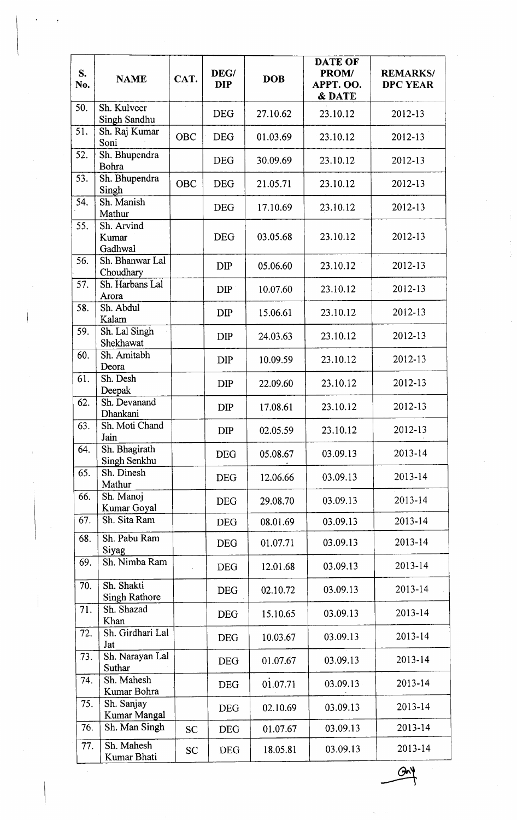| S.<br>No. | <b>NAME</b>                        | CAT.       | DEG/<br><b>DIP</b> | <b>DOB</b> | <b>DATE OF</b><br>PROM/<br>APPT. OO.<br><b>&amp; DATE</b> | <b>REMARKS/</b><br><b>DPC YEAR</b> |
|-----------|------------------------------------|------------|--------------------|------------|-----------------------------------------------------------|------------------------------------|
| 50.       | Sh. Kulveer<br>Singh Sandhu        |            | <b>DEG</b>         | 27.10.62   | 23.10.12                                                  | 2012-13                            |
| 51.       | Sh. Raj Kumar<br>Soni              | <b>OBC</b> | <b>DEG</b>         | 01.03.69   | 23.10.12                                                  | 2012-13                            |
| 52.       | Sh. Bhupendra<br>Bohra             |            | <b>DEG</b>         | 30.09.69   | 23.10.12                                                  | 2012-13                            |
| 53.       | Sh. Bhupendra<br>Singh             | <b>OBC</b> | <b>DEG</b>         | 21.05.71   | 23.10.12                                                  | 2012-13                            |
| 54.       | Sh. Manish<br>Mathur               |            | <b>DEG</b>         | 17.10.69   | 23.10.12                                                  | 2012-13                            |
| 55.       | Sh. Arvind<br>Kumar<br>Gadhwal     |            | <b>DEG</b>         | 03.05.68   | 23.10.12                                                  | 2012-13                            |
| 56.       | Sh. Bhanwar Lal<br>Choudhary       |            | <b>DIP</b>         | 05.06.60   | 23.10.12                                                  | 2012-13                            |
| 57.       | Sh. Harbans Lal<br>Arora           |            | <b>DIP</b>         | 10.07.60   | 23.10.12                                                  | 2012-13                            |
| 58.       | Sh. Abdul<br>Kalam                 |            | <b>DIP</b>         | 15.06.61   | 23.10.12                                                  | 2012-13                            |
| 59.       | Sh. Lal Singh<br>Shekhawat         |            | <b>DIP</b>         | 24.03.63   | 23.10.12                                                  | 2012-13                            |
| 60.       | Sh. Amitabh<br>Deora               |            | <b>DIP</b>         | 10.09.59   | 23.10.12                                                  | 2012-13                            |
| 61.       | Sh. Desh<br>Deepak                 |            | <b>DIP</b>         | 22.09.60   | 23.10.12                                                  | 2012-13                            |
| 62.       | Sh. Devanand<br>Dhankani           |            | <b>DIP</b>         | 17.08.61   | 23.10.12                                                  | 2012-13                            |
| 63.       | Sh. Moti Chand<br>Jain             |            | <b>DIP</b>         | 02.05.59   | 23.10.12                                                  | 2012-13                            |
| 64.       | Sh. Bhagirath<br>Singh Senkhu      |            | <b>DEG</b>         | 05.08.67   | 03.09.13                                                  | 2013-14                            |
| 65.       | Sh. Dinesh<br>Mathur               |            | <b>DEG</b>         | 12.06.66   | 03.09.13                                                  | 2013-14                            |
| 66.       | Sh. Manoj<br>Kumar Goyal           |            | <b>DEG</b>         | 29.08.70   | 03.09.13                                                  | 2013-14                            |
| 67.       | Sh. Sita Ram                       |            | <b>DEG</b>         | 08.01.69   | 03.09.13                                                  | 2013-14                            |
| 68.       | Sh. Pabu Ram<br>Siyag              |            | <b>DEG</b>         | 01.07.71   | 03.09.13                                                  | 2013-14                            |
| 69.       | Sh. Nimba Ram                      |            | <b>DEG</b>         | 12.01.68   | 03.09.13                                                  | 2013-14                            |
| 70.       | Sh. Shakti<br><b>Singh Rathore</b> |            | <b>DEG</b>         | 02.10.72   | 03.09.13                                                  | 2013-14                            |
| 71.       | Sh. Shazad<br>Khan                 |            | <b>DEG</b>         | 15.10.65   | 03.09.13                                                  | 2013-14                            |
| 72.       | Sh. Girdhari Lal<br>Jat            |            | <b>DEG</b>         | 10.03.67   | 03.09.13                                                  | 2013-14                            |
| 73.       | Sh. Narayan Lal<br>Suthar          |            | <b>DEG</b>         | 01.07.67   | 03.09.13                                                  | 2013-14                            |
| 74.       | Sh. Mahesh<br>Kumar Bohra          |            | <b>DEG</b>         | 01.07.71   | 03.09.13                                                  | 2013-14                            |
| 75.       | Sh. Sanjay<br>Kumar Mangal         |            | <b>DEG</b>         | 02.10.69   | 03.09.13                                                  | 2013-14                            |
| 76.       | Sh. Man Singh                      | <b>SC</b>  | <b>DEG</b>         | 01.07.67   | 03.09.13                                                  | 2013-14                            |
| 77.       | Sh. Mahesh<br>Kumar Bhati          | <b>SC</b>  | <b>DEG</b>         | 18.05.81   | 03.09.13                                                  | 2013-14                            |

 $Q_2$ --a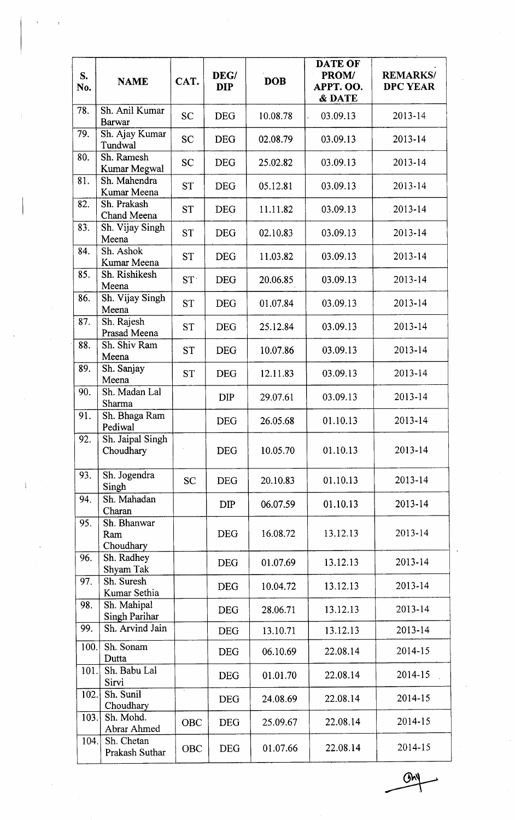| S.<br>No. | <b>NAME</b>                     | CAT.       | DEG/<br><b>DIP</b> | <b>DOB</b> | <b>DATE OF</b><br>PROM/<br>APPT. OO.<br>& DATE | <b>REMARKS/</b><br><b>DPC YEAR</b> |
|-----------|---------------------------------|------------|--------------------|------------|------------------------------------------------|------------------------------------|
| 78.       | Sh. Anil Kumar<br><b>Barwar</b> | <b>SC</b>  | <b>DEG</b>         | 10.08.78   | 03.09.13                                       | 2013-14                            |
| 79.       | Sh. Ajay Kumar<br>Tundwal       | <b>SC</b>  | <b>DEG</b>         | 02.08.79   | 03.09.13                                       | 2013-14                            |
| 80.       | Sh. Ramesh<br>Kumar Megwal      | <b>SC</b>  | <b>DEG</b>         | 25.02.82   | 03.09.13                                       | 2013-14                            |
| 81.       | Sh. Mahendra<br>Kumar Meena     | <b>ST</b>  | <b>DEG</b>         | 05.12.81   | 03.09.13                                       | 2013-14                            |
| 82.       | Sh. Prakash<br>Chand Meena      | <b>ST</b>  | <b>DEG</b>         | 11.11.82   | 03.09.13                                       | $2013 - 14$                        |
| 83.       | Sh. Vijay Singh<br>Meena        | <b>ST</b>  | <b>DEG</b>         | 02.10.83   | 03.09.13                                       | $2013 - 14$                        |
| 84.       | Sh. Ashok<br>Kumar Meena        | ST         | <b>DEG</b>         | 11.03.82   | 03.09.13                                       | 2013-14                            |
| 85.       | Sh. Rishikesh<br>Meena          | ST         | <b>DEG</b>         | 20.06.85   | 03.09.13                                       | $2013 - 14$                        |
| 86.       | Sh. Vijay Singh<br>Meena        | <b>ST</b>  | <b>DEG</b>         | 01.07.84   | 03.09.13                                       | 2013-14                            |
| 87.       | Sh. Rajesh<br>Prasad Meena      | <b>ST</b>  | <b>DEG</b>         | 25.12.84   | 03.09.13                                       | $2013 - 14$                        |
| 88.       | Sh. Shiv Ram<br>Meena           | <b>ST</b>  | <b>DEG</b>         | 10.07.86   | 03.09.13                                       | 2013-14                            |
| 89.       | Sh. Sanjay<br>Meena             | <b>ST</b>  | <b>DEG</b>         | 12.11.83   | 03.09.13                                       | 2013-14                            |
| 90.       | Sh. Madan Lal<br>Sharma         |            | <b>DIP</b>         | 29.07.61   | 03.09.13                                       | 2013-14                            |
| 91.       | Sh. Bhaga Ram<br>Pediwal        |            | <b>DEG</b>         | 26.05.68   | 01.10.13                                       | 2013-14                            |
| 92.       | Sh. Jaipal Singh<br>Choudhary   |            | <b>DEG</b>         | 10.05.70   | 01.10.13                                       | 2013-14                            |
| 93.       | Sh. Jogendra<br>Singh           | <b>SC</b>  | <b>DEG</b>         | 20.10.83   | 01.10.13                                       | 2013-14                            |
| 94.       | Sh. Mahadan<br>Charan           |            | <b>DIP</b>         | 06.07.59   | 01.10.13                                       | 2013-14                            |
| 95.       | Sh. Bhanwar<br>Ram<br>Choudhary |            | <b>DEG</b>         | 16.08.72   | 13.12.13                                       | 2013-14                            |
| 96.       | Sh. Radhey<br>Shyam Tak         |            | <b>DEG</b>         | 01.07.69   | 13.12.13                                       | 2013-14                            |
| 97.       | Sh. Suresh<br>Kumar Sethia      |            | <b>DEG</b>         | 10.04.72   | 13.12.13                                       | 2013-14                            |
| 98.       | Sh. Mahipal<br>Singh Parihar    |            | <b>DEG</b>         | 28.06.71   | 13.12.13                                       | 2013-14                            |
| 99.       | Sh. Arvind Jain                 |            | <b>DEG</b>         | 13.10.71   | 13.12.13                                       | 2013-14                            |
| 100.      | Sh. Sonam<br>Dutta              |            | <b>DEG</b>         | 06.10.69   | 22.08.14                                       | 2014-15                            |
| 101.      | Sh. Babu Lal<br>Sirvi           |            | <b>DEG</b>         | 01.01.70   | 22.08.14                                       | 2014-15                            |
| 102.      | Sh. Sunil<br>Choudhary          |            | <b>DEG</b>         | 24.08.69   | 22.08.14                                       | 2014-15                            |
| 103.      | Sh. Mohd.<br>Abrar Ahmed        | <b>OBC</b> | <b>DEG</b>         | 25.09.67   | 22.08.14                                       | 2014-15                            |
| 104.      | Sh. Chetan<br>Prakash Suthar    | OBC        | <b>DEG</b>         | 01.07.66   | 22.08.14                                       | 2014-15                            |

 $\overline{\mathbb{G}^{\mathsf{h}}}$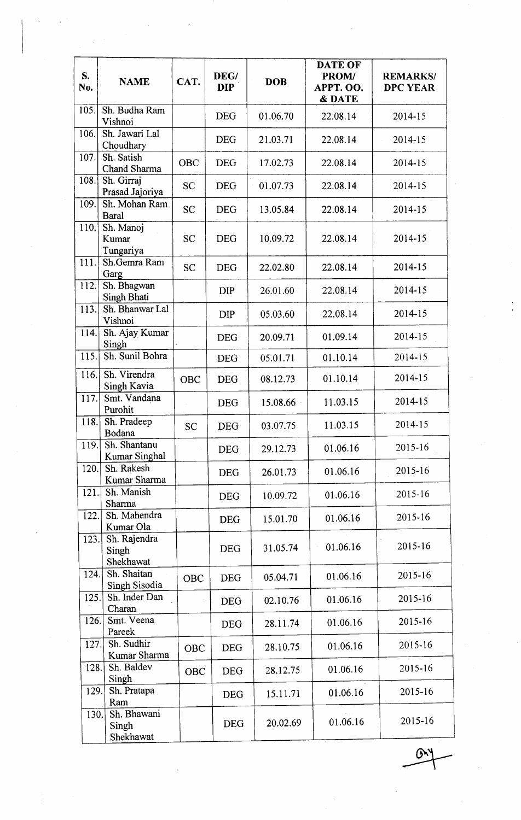| S.<br>No. | <b>NAME</b>                        | CAT.       | DEG/<br><b>DIP</b> | <b>DOB</b> | <b>DATE OF</b><br>PROM/<br>APPT. OO.<br>& DATE | <b>REMARKS/</b><br><b>DPC YEAR</b> |
|-----------|------------------------------------|------------|--------------------|------------|------------------------------------------------|------------------------------------|
| 105.      | Sh. Budha Ram<br>Vishnoi           |            | <b>DEG</b>         | 01.06.70   | 22.08.14                                       | 2014-15                            |
| 106.      | Sh. Jawari Lal<br>Choudhary        |            | <b>DEG</b>         | 21.03.71   | 22.08.14                                       | 2014-15                            |
| 107.      | Sh. Satish<br>Chand Sharma         | <b>OBC</b> | <b>DEG</b>         | 17.02.73   | 22.08.14                                       | $2014 - 15$                        |
| 108.      | Sh. Girraj<br>Prasad Jajoriya      | <b>SC</b>  | <b>DEG</b>         | 01.07.73   | 22.08.14                                       | 2014-15                            |
| 109.      | Sh. Mohan Ram<br><b>Baral</b>      | <b>SC</b>  | <b>DEG</b>         | 13.05.84   | 22.08.14                                       | 2014-15                            |
| 110.      | Sh. Manoj<br>Kumar<br>Tungariya    | <b>SC</b>  | <b>DEG</b>         | 10.09.72   | 22.08.14                                       | 2014-15                            |
| 111.      | Sh.Gemra Ram<br>Garg               | <b>SC</b>  | <b>DEG</b>         | 22.02.80   | 22.08.14                                       | 2014-15                            |
| 112.      | Sh. Bhagwan<br>Singh Bhati         |            | <b>DIP</b>         | 26.01.60   | 22.08.14                                       | $2014 - 15$                        |
| 113.      | Sh. Bhanwar Lal<br>Vishnoi         |            | <b>DIP</b>         | 05.03.60   | 22.08.14                                       | 2014-15                            |
| 114.      | Sh. Ajay Kumar<br>Singh            |            | DEG <sup>®</sup>   | 20.09.71   | 01.09.14                                       | 2014-15                            |
| 115.      | Sh. Sunil Bohra                    |            | <b>DEG</b>         | 05.01.71   | 01.10.14                                       | 2014-15                            |
| 116.      | Sh. Virendra<br>Singh Kavia        | <b>OBC</b> | <b>DEG</b>         | 08.12.73   | 01.10.14                                       | 2014-15                            |
| 117.      | Smt. Vandana<br>Purohit            |            | <b>DEG</b>         | 15.08.66   | 11.03.15                                       | 2014-15                            |
| 118.      | Sh. Pradeep<br>Bodana              | <b>SC</b>  | <b>DEG</b>         | 03.07.75   | 11.03.15                                       | 2014-15                            |
| 119.      | Sh. Shantanu<br>Kumar Singhal      |            | <b>DEG</b>         | 29.12.73   | 01.06.16                                       | 2015-16                            |
| 120.      | Sh. Rakesh<br>Kumar Sharma         |            | <b>DEG</b>         | 26.01.73   | 01.06.16                                       | 2015-16                            |
| 121.      | Sh. Manish<br>Sharma               |            | <b>DEG</b>         | 10.09.72   | 01.06.16                                       | 2015-16                            |
| 122.      | Sh. Mahendra<br>Kumar Ola          |            | <b>DEG</b>         | 15.01.70   | 01.06.16                                       | 2015-16                            |
| 123.      | Sh. Rajendra<br>Singh<br>Shekhawat |            | <b>DEG</b>         | 31.05.74   | 01.06.16                                       | 2015-16                            |
| 124.      | Sh. Shaitan<br>Singh Sisodia       | <b>OBC</b> | <b>DEG</b>         | 05.04.71   | 01.06.16                                       | 2015-16                            |
| 125.      | Sh. Inder Dan<br>Charan            |            | <b>DEG</b>         | 02.10.76   | 01.06.16                                       | 2015-16                            |
| 126.      | Smt. Veena<br>Pareek               |            | <b>DEG</b>         | 28.11.74   | 01.06.16                                       | 2015-16                            |
| 127.      | Sh. Sudhir<br>Kumar Sharma         | <b>OBC</b> | <b>DEG</b>         | 28.10.75   | 01.06.16                                       | 2015-16                            |
| 128.      | Sh. Baldev<br>Singh                | <b>OBC</b> | <b>DEG</b>         | 28.12.75   | 01.06.16                                       | 2015-16                            |
| 129.      | Sh. Pratapa<br>Ram                 |            | <b>DEG</b>         | 15.11.71   | 01.06.16                                       | 2015-16                            |
| 130.      | Sh. Bhawani<br>Singh<br>Shekhawat  |            | <b>DEG</b>         | 20.02.69   | 01.06.16                                       | 2015-16                            |

 $\overline{\phantom{0}}$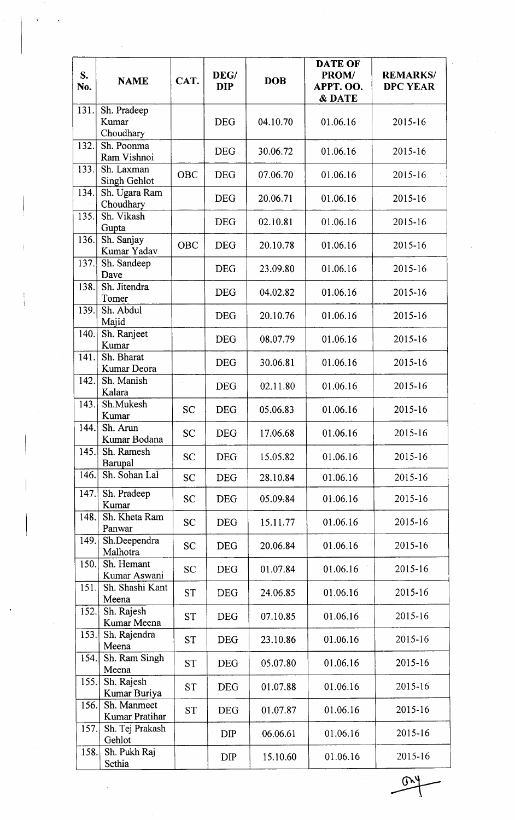| S.<br>No. | <b>NAME</b>                       | CAT.       | DEG/<br><b>DIP</b> | <b>DOB</b> | <b>DATE OF</b><br>PROM/<br>APPT. OO.<br>& DATE | <b>REMARKS/</b><br><b>DPC YEAR</b> |
|-----------|-----------------------------------|------------|--------------------|------------|------------------------------------------------|------------------------------------|
| 131.      | Sh. Pradeep<br>Kumar<br>Choudhary |            | <b>DEG</b>         | 04.10.70   | 01.06.16                                       | 2015-16                            |
| 132.      | Sh. Poonma<br>Ram Vishnoi         |            | <b>DEG</b>         | 30.06.72   | 01.06.16                                       | 2015-16                            |
| 133.      | Sh. Laxman<br>Singh Gehlot        | <b>OBC</b> | <b>DEG</b>         | 07.06.70   | 01.06.16                                       | 2015-16                            |
| 134.      | Sh. Ugara Ram<br>Choudhary        |            | <b>DEG</b>         | 20.06.71   | 01.06.16                                       | 2015-16                            |
| 135.      | Sh. Vikash<br>Gupta               |            | <b>DEG</b>         | 02.10.81   | 01.06.16                                       | 2015-16                            |
| 136.      | Sh. Sanjay<br>Kumar Yadav         | <b>OBC</b> | <b>DEG</b>         | 20.10.78   | 01.06.16                                       | 2015-16                            |
| 137.      | Sh. Sandeep<br>Dave               |            | <b>DEG</b>         | 23.09.80   | 01.06.16                                       | 2015-16                            |
| 138.      | Sh. Jitendra<br>Tomer             |            | <b>DEG</b>         | 04.02.82   | 01.06.16                                       | 2015-16                            |
| 139.      | Sh. Abdul<br>Majid                |            | <b>DEG</b>         | 20.10.76   | 01.06.16                                       | 2015-16                            |
| 140.      | Sh. Ranjeet<br>Kumar              |            | <b>DEG</b>         | 08.07.79   | 01.06.16                                       | 2015-16                            |
| 141.      | Sh. Bharat<br>Kumar Deora         |            | <b>DEG</b>         | 30.06.81   | 01.06.16                                       | $2015 - 16$                        |
| 142.      | Sh. Manish<br>Kalara              |            | <b>DEG</b>         | 02.11.80   | 01.06.16                                       | 2015-16                            |
| 143.      | Sh.Mukesh<br>Kumar                | <b>SC</b>  | <b>DEG</b>         | 05.06.83   | 01.06.16                                       | 2015-16                            |
| 144.      | Sh. Arun<br>Kumar Bodana          | <b>SC</b>  | <b>DEG</b>         | 17.06.68   | 01.06.16                                       | 2015-16                            |
| 145.      | Sh. Ramesh<br>Barupal             | <b>SC</b>  | <b>DEG</b>         | 15.05.82   | 01.06.16                                       | 2015-16                            |
| 146.      | Sh. Sohan Lal                     | <b>SC</b>  | <b>DEG</b>         | 28.10.84   | 01.06.16                                       | 2015-16                            |
| 147.      | Sh. Pradeep<br>Kumar              | <b>SC</b>  | <b>DEG</b>         | 05.09.84   | 01.06.16                                       | 2015-16                            |
| 148.      | Sh. Kheta Ram<br>Panwar           | <b>SC</b>  | <b>DEG</b>         | 15.11.77   | 01.06.16                                       | 2015-16                            |
| 149.      | Sh.Deependra<br>Malhotra          | <b>SC</b>  | <b>DEG</b>         | 20.06.84   | 01.06.16                                       | 2015-16                            |
| 150.      | Sh. Hemant<br>Kumar Aswani        | <b>SC</b>  | <b>DEG</b>         | 01.07.84   | 01.06.16                                       | 2015-16                            |
| 151.      | Sh. Shashi Kant<br>Meena          | <b>ST</b>  | <b>DEG</b>         | 24.06.85   | 01.06.16                                       | 2015-16                            |
| 152.      | Sh. Rajesh<br>Kumar Meena         | <b>ST</b>  | <b>DEG</b>         | 07.10.85   | 01.06.16                                       | 2015-16                            |
| 153.      | Sh. Rajendra<br>Meena             | <b>ST</b>  | <b>DEG</b>         | 23.10.86   | 01.06.16                                       | 2015-16                            |
| 154.      | Sh. Ram Singh<br>Meena            | <b>ST</b>  | <b>DEG</b>         | 05.07.80   | 01.06.16                                       | 2015-16                            |
| 155.      | Sh. Rajesh<br>Kumar Buriya        | <b>ST</b>  | <b>DEG</b>         | 01.07.88   | 01.06.16                                       | 2015-16                            |
| 156.      | Sh. Manmeet<br>Kumar Pratihar     | <b>ST</b>  | <b>DEG</b>         | 01.07.87   | 01.06.16                                       | 2015-16                            |
| 157.      | Sh. Tej Prakash<br>Gehlot         |            | <b>DIP</b>         | 06.06.61   | 01.06.16                                       | 2015-16                            |
| 158.      | Sh. Pukh Raj<br>Sethia            |            | <b>DIP</b>         | 15.10.60   | 01.06.16                                       | 2015-16                            |

 $\mathbb{R}^4$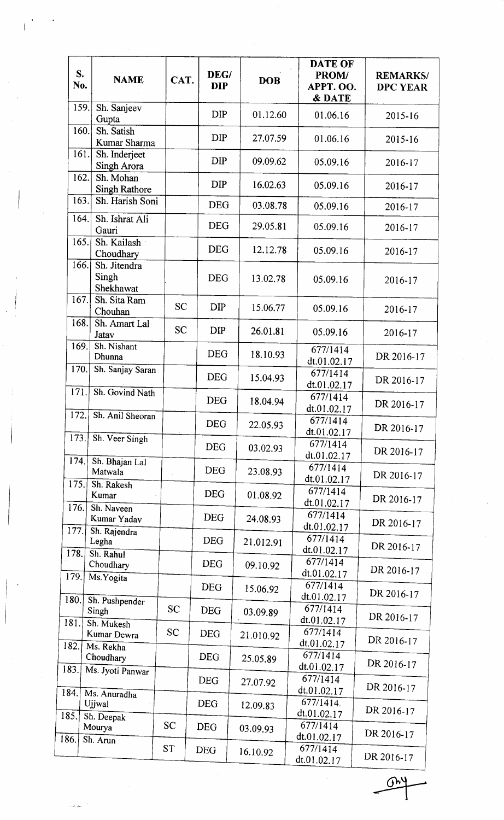|      | S.<br><b>NAME</b><br>No.                   | CAT.      | DEG/<br><b>DIP</b> | <b>DOB</b> | <b>DATE OF</b><br>PROM/<br>APPT. OO.<br>& DATE | <b>REMARKS/</b><br><b>DPC YEAR</b> |
|------|--------------------------------------------|-----------|--------------------|------------|------------------------------------------------|------------------------------------|
|      | 159.<br>Sh. Sanjeev<br>Gupta               |           | <b>DIP</b>         | 01.12.60   | 01.06.16                                       | 2015-16                            |
|      | 160.<br>Sh. Satish<br>Kumar Sharma         |           | <b>DIP</b>         | 27.07.59   | 01.06.16                                       | 2015-16                            |
|      | 161.<br>Sh. Inderjeet<br>Singh Arora       |           | <b>DIP</b>         | 09.09.62   | 05.09.16                                       | 2016-17                            |
|      | 162.<br>Sh. Mohan<br><b>Singh Rathore</b>  |           | <b>DIP</b>         | 16.02.63   | 05.09.16                                       | 2016-17                            |
|      | 163.<br>Sh. Harish Soni                    |           | <b>DEG</b>         | 03.08.78   | 05.09.16                                       | 2016-17                            |
|      | 164.<br>Sh. Ishrat Ali<br>Gauri            |           | <b>DEG</b>         | 29.05.81   | 05.09.16                                       | 2016-17                            |
|      | 165.<br>Sh. Kailash<br>Choudhary           |           | <b>DEG</b>         | 12.12.78   | 05.09.16                                       | 2016-17                            |
|      | 166.<br>Sh. Jitendra<br>Singh<br>Shekhawat |           | <b>DEG</b>         | 13.02.78   | 05.09.16                                       | 2016-17                            |
|      | 167.<br>Sh. Sita Ram<br>Chouhan            | <b>SC</b> | <b>DIP</b>         | 15.06.77   | 05.09.16                                       | 2016-17                            |
|      | 168.<br>Sh. Amart Lal<br>Jatav             | <b>SC</b> | <b>DIP</b>         | 26.01.81   | 05.09.16                                       | 2016-17                            |
|      | 169.<br>Sh. Nishant<br>Dhunna              |           | <b>DEG</b>         | 18.10.93   | 677/1414<br>dt.01.02.17                        | DR 2016-17                         |
|      | 170.<br>Sh. Sanjay Saran                   |           | <b>DEG</b>         | 15.04.93   | 677/1414<br>dt.01.02.17                        | DR 2016-17                         |
|      | 171.<br>Sh. Govind Nath                    |           | <b>DEG</b>         | 18.04.94   | 677/1414<br>dt.01.02.17                        | DR 2016-17                         |
| 172. | Sh. Anil Sheoran                           |           | <b>DEG</b>         | 22.05.93   | 677/1414<br>dt.01.02.17                        | DR 2016-17                         |
|      | 173.<br>Sh. Veer Singh                     |           | <b>DEG</b>         | 03.02.93   | 677/1414<br>dt.01.02.17                        | DR 2016-17                         |
| 174. | Sh. Bhajan Lal<br>Matwala                  |           | <b>DEG</b>         | 23.08.93   | 677/1414<br>dt.01.02.17                        | DR 2016-17                         |
| 175. | Sh. Rakesh<br>Kumar                        |           | <b>DEG</b>         | 01.08.92   | 677/1414<br>dt.01.02.17                        | DR 2016-17                         |
| 176. | Sh. Naveen<br>Kumar Yadav                  |           | <b>DEG</b>         | 24.08.93   | 677/1414<br>dt.01.02.17                        | DR 2016-17                         |
| 177. | Sh. Rajendra<br>Legha                      |           | <b>DEG</b>         | 21.012.91  | 677/1414<br>dt.01.02.17                        | DR 2016-17                         |
| 178. | Sh. Rahul<br>Choudhary                     |           | <b>DEG</b>         | 09.10.92   | 677/1414<br>dt.01.02.17                        | DR 2016-17                         |
| 179. | Ms. Yogita                                 |           | <b>DEG</b>         | 15.06.92   | 677/1414<br>dt.01.02.17                        | DR 2016-17                         |
| 180. | Sh. Pushpender<br>Singh                    | <b>SC</b> | DEG                | 03.09.89   | 677/1414<br>dt.01.02.17                        | DR 2016-17                         |
| 181. | Sh. Mukesh<br>Kumar Dewra                  | <b>SC</b> | <b>DEG</b>         | 21.010.92  | 677/1414                                       | DR 2016-17                         |
| 182. | Ms. Rekha<br>Choudhary                     |           | <b>DEG</b>         | 25.05.89   | dt.01.02.17<br>677/1414                        | DR 2016-17                         |
| 183. | Ms. Jyoti Panwar                           |           | <b>DEG</b>         | 27.07.92   | dt.01.02.17<br>677/1414                        | DR 2016-17                         |
| 184. | Ms. Anuradha<br>Ujjwal                     |           | <b>DEG</b>         | 12.09.83   | dt.01.02.17<br>677/1414.                       | DR 2016-17                         |
| 185. | Sh. Deepak<br>Mourya                       | <b>SC</b> | <b>DEG</b>         | 03.09.93   | dt.01.02.17<br>677/1414                        |                                    |
| 186. | Sh. Arun                                   | <b>ST</b> | <b>DEG</b>         | 16.10.92   | dt.01.02.17<br>677/1414                        | DR 2016-17                         |
|      |                                            |           |                    |            | dt.01.02.17                                    | DR 2016-17                         |

 $\frac{1}{\sqrt{2}}$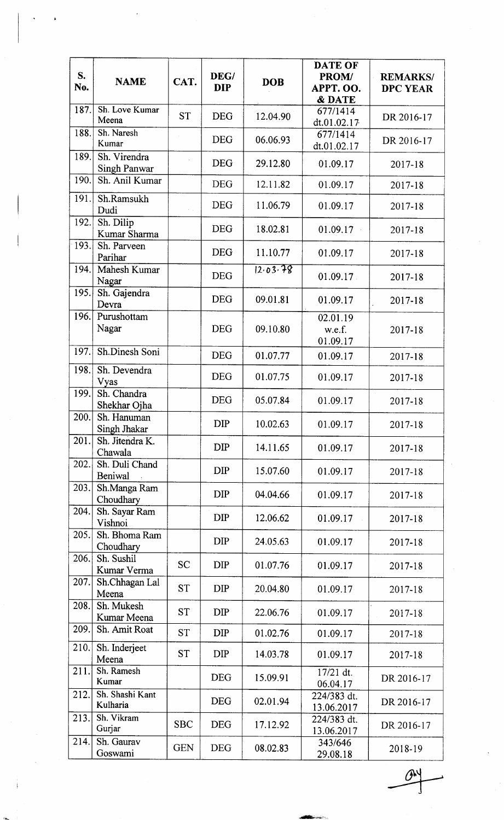| S.<br>No. | <b>NAME</b>                  | CAT.       | DEG/<br><b>DIP</b> | <b>DOB</b> | <b>DATE OF</b><br>PROM/<br>APPT. OO.<br>& DATE | <b>REMARKS/</b><br><b>DPC YEAR</b> |
|-----------|------------------------------|------------|--------------------|------------|------------------------------------------------|------------------------------------|
| 187.      | Sh. Love Kumar<br>Meena      | <b>ST</b>  | <b>DEG</b>         | 12.04.90   | 677/1414<br>dt.01.02.17                        | DR 2016-17                         |
| 188.      | Sh. Naresh<br>Kumar          |            | <b>DEG</b>         | 06.06.93   | 677/1414<br>dt.01.02.17                        | DR 2016-17                         |
| 189.      | Sh. Virendra<br>Singh Panwar |            | <b>DEG</b>         | 29.12.80   | 01.09.17                                       | 2017-18                            |
| 190.      | Sh. Anil Kumar               |            | <b>DEG</b>         | 12.11.82   | 01.09.17                                       | 2017-18                            |
| 191.      | Sh.Ramsukh<br>Dudi           |            | <b>DEG</b>         | 11.06.79   | 01.09.17                                       | 2017-18                            |
| 192.      | Sh. Dilip<br>Kumar Sharma    |            | <b>DEG</b>         | 18.02.81   | 01.09.17                                       | 2017-18                            |
| 193.      | Sh. Parveen<br>Parihar       |            | <b>DEG</b>         | 11.10.77   | 01.09.17                                       | 2017-18                            |
| 194.      | Mahesh Kumar<br>Nagar        |            | <b>DEG</b>         | 12.03.78   | 01.09.17                                       | 2017-18                            |
| 195.      | Sh. Gajendra<br>Devra        |            | <b>DEG</b>         | 09.01.81   | 01.09.17                                       | 2017-18                            |
| 196.      | Purushottam<br>Nagar         |            | <b>DEG</b>         | 09.10.80   | 02.01.19<br>w.e.f.<br>01.09.17                 | 2017-18                            |
| 197.      | Sh.Dinesh Soni               |            | <b>DEG</b>         | 01.07.77   | 01.09.17                                       | 2017-18                            |
| 198.      | Sh. Devendra<br>Vyas         |            | <b>DEG</b>         | 01.07.75   | 01.09.17                                       | 2017-18                            |
| 199.      | Sh. Chandra<br>Shekhar Ojha  |            | <b>DEG</b>         | 05.07.84   | 01.09.17                                       | 2017-18                            |
| 200.      | Sh. Hanuman<br>Singh Jhakar  |            | <b>DIP</b>         | 10.02.63   | 01.09.17                                       | 2017-18                            |
| 201.      | Sh. Jitendra K.<br>Chawala   |            | <b>DIP</b>         | 14.11.65   | 01.09.17                                       | 2017-18                            |
| 202.      | Sh. Duli Chand<br>Beniwal    |            | <b>DIP</b>         | 15.07.60   | 01.09.17                                       | 2017-18                            |
| 203.      | Sh.Manga Ram<br>Choudhary    |            | <b>DIP</b>         | 04.04.66   | 01.09.17                                       | 2017-18                            |
| 204.      | Sh. Sayar Ram<br>Vishnoi     |            | <b>DIP</b>         | 12.06.62   | 01.09.17                                       | 2017-18                            |
| 205.      | Sh. Bhoma Ram<br>Choudhary   |            | <b>DIP</b>         | 24.05.63   | 01.09.17                                       | 2017-18                            |
| 206.      | Sh. Sushil<br>Kumar Verma    | <b>SC</b>  | DIP                | 01.07.76   | 01.09.17                                       | 2017-18                            |
| 207.      | Sh.Chhagan Lal<br>Meena      | <b>ST</b>  | <b>DIP</b>         | 20.04.80   | 01.09.17                                       | 2017-18                            |
| 208.      | Sh. Mukesh<br>Kumar Meena    | <b>ST</b>  | <b>DIP</b>         | 22.06.76   | 01.09.17                                       | 2017-18                            |
| 209.      | Sh. Amit Roat                | <b>ST</b>  | <b>DIP</b>         | 01.02.76   | 01.09.17                                       | 2017-18                            |
| 210.      | Sh. Inderjeet<br>Meena       | <b>ST</b>  | <b>DIP</b>         | 14.03.78   | 01.09.17                                       | 2017-18                            |
| 211.      | Sh. Ramesh<br>Kumar          |            | <b>DEG</b>         | 15.09.91   | 17/21 dt.<br>06.04.17                          | DR 2016-17                         |
| 212.      | Sh. Shashi Kant<br>Kulharia  |            | <b>DEG</b>         | 02.01.94   | 224/383 dt.<br>13.06.2017                      | DR 2016-17                         |
| 213.      | Sh. Vikram<br>Gurjar         | <b>SBC</b> | <b>DEG</b>         | 17.12.92   | 224/383 dt.<br>13.06.2017                      | DR 2016-17                         |
| 214.      | Sh. Gaurav<br>Goswami        | <b>GEN</b> | <b>DEG</b>         | 08.02.83   | 343/646<br>29.08.18                            | 2018-19                            |
|           |                              |            |                    |            |                                                |                                    |
|           |                              |            |                    |            |                                                |                                    |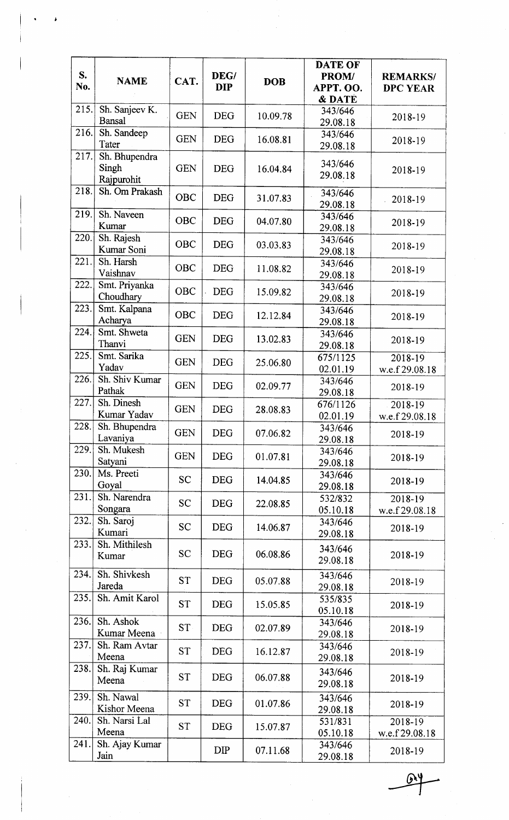| S.<br>No. | <b>NAME</b>                          | CAT.       | DEG/<br><b>DIP</b> | <b>DOB</b> | <b>DATE OF</b><br>PROM/<br>APPT. OO.<br>& DATE | <b>REMARKS/</b><br><b>DPC YEAR</b> |
|-----------|--------------------------------------|------------|--------------------|------------|------------------------------------------------|------------------------------------|
| 215.      | Sh. Sanjeev K.<br><b>Bansal</b>      | <b>GEN</b> | <b>DEG</b>         | 10.09.78   | 343/646<br>29.08.18                            | 2018-19                            |
| 216.      | Sh. Sandeep<br>Tater                 | <b>GEN</b> | <b>DEG</b>         | 16.08.81   | 343/646<br>29.08.18                            | 2018-19                            |
| 217.      | Sh. Bhupendra<br>Singh<br>Rajpurohit | <b>GEN</b> | <b>DEG</b>         | 16.04.84   | 343/646<br>29.08.18                            | 2018-19                            |
| 218.      | Sh. Om Prakash                       | <b>OBC</b> | <b>DEG</b>         | 31.07.83   | 343/646<br>29.08.18                            | 2018-19                            |
| 219.      | Sh. Naveen<br>Kumar                  | <b>OBC</b> | <b>DEG</b>         | 04.07.80   | 343/646<br>29.08.18                            | 2018-19                            |
| 220.      | Sh. Rajesh<br>Kumar Soni             | <b>OBC</b> | <b>DEG</b>         | 03.03.83   | 343/646<br>29.08.18                            | 2018-19                            |
| 221.      | Sh. Harsh<br>Vaishnav                | <b>OBC</b> | <b>DEG</b>         | 11.08.82   | 343/646<br>29.08.18                            | 2018-19                            |
| 222.      | Smt. Priyanka<br>Choudhary           | OBC        | <b>DEG</b>         | 15.09.82   | 343/646<br>29.08.18                            | 2018-19                            |
| 223.      | Smt. Kalpana<br>Acharya              | <b>OBC</b> | <b>DEG</b>         | 12.12.84   | 343/646<br>29.08.18                            | 2018-19                            |
| 224.      | Smt. Shweta<br>Thanvi                | <b>GEN</b> | <b>DEG</b>         | 13.02.83   | 343/646<br>29.08.18                            | 2018-19                            |
| 225.      | Smt. Sarika<br>Yadav                 | <b>GEN</b> | <b>DEG</b>         | 25.06.80   | 675/1125<br>02.01.19                           | $2018 - 19$<br>w.e.f 29.08.18      |
| 226.      | Sh. Shiv Kumar<br>Pathak             | <b>GEN</b> | <b>DEG</b>         | 02.09.77   | 343/646<br>29.08.18                            | 2018-19                            |
| 227.      | Sh. Dinesh<br>Kumar Yadav            | <b>GEN</b> | <b>DEG</b>         | 28.08.83   | 676/1126<br>02.01.19                           | 2018-19<br>w.e.f 29.08.18          |
| 228.      | Sh. Bhupendra<br>Lavaniya            | <b>GEN</b> | <b>DEG</b>         | 07.06.82   | 343/646<br>29.08.18                            | 2018-19                            |
| 229.      | Sh. Mukesh<br>Satyani                | <b>GEN</b> | <b>DEG</b>         | 01.07.81   | 343/646<br>29.08.18                            | 2018-19                            |
| 230.      | Ms. Preeti<br>Goyal                  | <b>SC</b>  | <b>DEG</b>         | 14.04.85   | 343/646<br>29.08.18                            | 2018-19                            |
| 231.      | Sh. Narendra<br>Songara              | <b>SC</b>  | <b>DEG</b>         | 22.08.85   | 532/832<br>05.10.18                            | 2018-19<br>w.e.f 29.08.18          |
| 232.      | Sh. Saroj<br>Kumari                  | <b>SC</b>  | <b>DEG</b>         | 14.06.87   | 343/646<br>29.08.18                            | 2018-19                            |
| 233.      | Sh. Mithilesh<br>Kumar               | <b>SC</b>  | <b>DEG</b>         | 06.08.86   | 343/646<br>29.08.18                            | 2018-19                            |
| 234.      | Sh. Shivkesh<br>Jareda               | <b>ST</b>  | <b>DEG</b>         | 05.07.88   | 343/646<br>29.08.18                            | 2018-19                            |
| 235.      | Sh. Amit Karol                       | <b>ST</b>  | <b>DEG</b>         | 15.05.85   | 535/835<br>05.10.18                            | 2018-19                            |
| 236.      | Sh. Ashok<br>Kumar Meena             | <b>ST</b>  | <b>DEG</b>         | 02.07.89   | 343/646<br>29.08.18                            | 2018-19                            |
| 237.      | Sh. Ram Avtar<br>Meena               | <b>ST</b>  | <b>DEG</b>         | 16.12.87   | 343/646<br>29.08.18                            | 2018-19                            |
| 238.      | Sh. Raj Kumar<br>Meena               | <b>ST</b>  | <b>DEG</b>         | 06.07.88   | 343/646<br>29.08.18                            | 2018-19                            |
| 239.      | Sh. Nawal<br>Kishor Meena            | <b>ST</b>  | <b>DEG</b>         | 01.07.86   | 343/646<br>29.08.18                            | 2018-19                            |
| 240.      | Sh. Narsi Lal<br>Meena               | <b>ST</b>  | <b>DEG</b>         | 15.07.87   | 531/831<br>05.10.18                            | 2018-19<br>w.e.f 29.08.18          |
| 241.      | Sh. Ajay Kumar<br>Jain               |            | <b>DIP</b>         | 07.11.68   | 343/646<br>29.08.18                            | 2018-19                            |

 $\mathbf{D}'$ 

 $\pmb{\cdot}$